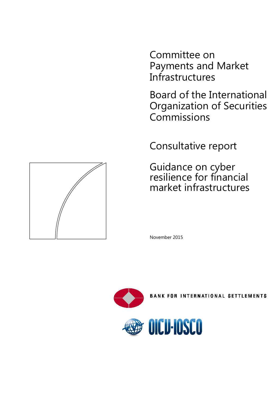Committee on Payments and Market **Infrastructures** 

Board of the International Organization of Securities Commissions

Consultative report

Guidance on cyber resilience for financial market infrastructures

November 2015





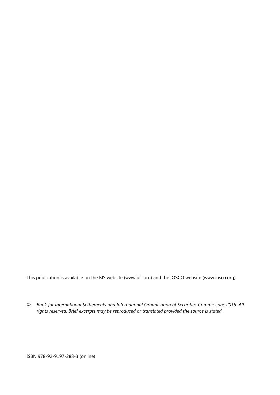This publication is available on the BIS website [\(www.bis.org\)](http://www.bis.org/) and the IOSCO website [\(www.iosco.org\)](http://www.iosco.org/).

*© Bank for International Settlements and International Organization of Securities Commissions 2015. All rights reserved. Brief excerpts may be reproduced or translated provided the source is stated.*

ISBN 978-92-9197-288-3 (online)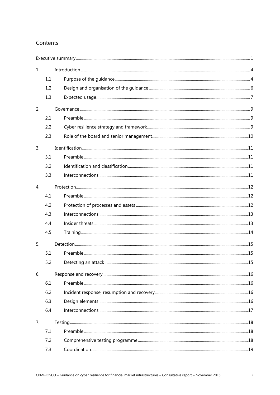### Contents

| 1. |     |  |  |
|----|-----|--|--|
|    | 1.1 |  |  |
|    | 1.2 |  |  |
|    | 1.3 |  |  |
| 2. |     |  |  |
|    | 2.1 |  |  |
|    | 2.2 |  |  |
|    | 2.3 |  |  |
| 3. |     |  |  |
|    | 3.1 |  |  |
|    | 3.2 |  |  |
|    | 3.3 |  |  |
| 4. |     |  |  |
|    | 4.1 |  |  |
|    | 4.2 |  |  |
|    | 4.3 |  |  |
|    | 4.4 |  |  |
|    | 4.5 |  |  |
| 5. |     |  |  |
|    | 5.1 |  |  |
|    | 5.2 |  |  |
| 6. |     |  |  |
|    | 6.1 |  |  |
|    | 6.2 |  |  |
|    | 6.3 |  |  |
|    | 6.4 |  |  |
| 7. |     |  |  |
|    | 7.1 |  |  |
|    | 7.2 |  |  |
|    | 7.3 |  |  |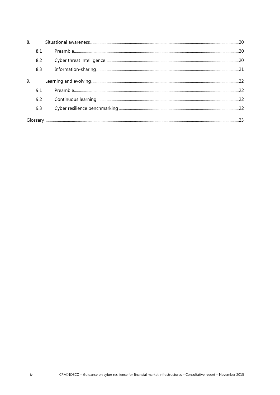| 8. |     |  |
|----|-----|--|
|    | 8.1 |  |
|    | 8.2 |  |
|    | 8.3 |  |
| 9. |     |  |
|    | 9.1 |  |
|    | 9.2 |  |
|    | 9.3 |  |
|    |     |  |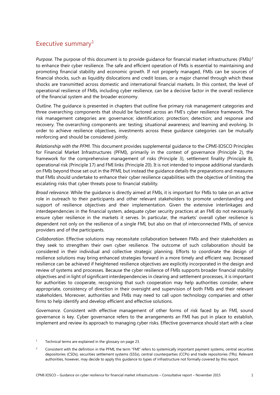## <span id="page-4-0"></span>Executive summary $1$

*Purpose*. The purpose of this document is to provide quidance for financial market infrastructures (FMIs)<sup>[2](#page-4-2)</sup> to enhance their cyber resilience. The safe and efficient operation of FMIs is essential to maintaining and promoting financial stability and economic growth. If not properly managed, FMIs can be sources of financial shocks, such as liquidity dislocations and credit losses, or a major channel through which these shocks are transmitted across domestic and international financial markets. In this context, the level of operational resilience of FMIs, including cyber resilience, can be a decisive factor in the overall resilience of the financial system and the broader economy.

*Outline*. The guidance is presented in chapters that outline five primary risk management categories and three overarching components that should be factored across an FMI's cyber resilience framework. The risk management categories are: governance; identification; protection; detection; and response and recovery. The overarching components are: testing; situational awareness; and learning and evolving. In order to achieve resilience objectives, investments across these guidance categories can be mutually reinforcing and should be considered jointly.

*Relationship with the PFMI*. This document provides supplemental guidance to the CPMI-IOSCO Principles for Financial Market Infrastructures (PFMI), primarily in the context of governance (Principle 2), the framework for the comprehensive management of risks (Principle 3), settlement finality (Principle 8), operational risk (Principle 17) and FMI links (Principle 20). It is not intended to impose additional standards on FMIs beyond those set out in the PFMI, but instead the guidance details the preparations and measures that FMIs should undertake to enhance their cyber resilience capabilities with the objective of limiting the escalating risks that cyber threats pose to financial stability.

*Broad relevance*. While the guidance is directly aimed at FMIs, it is important for FMIs to take on an active role in outreach to their participants and other relevant stakeholders to promote understanding and support of resilience objectives and their implementation. Given the extensive interlinkages and interdependencies in the financial system, adequate cyber security practices at an FMI do not necessarily ensure cyber resilience in the markets it serves. In particular, the markets' overall cyber resilience is dependent not only on the resilience of a single FMI, but also on that of interconnected FMIs, of service providers and of the participants.

*Collaboration*. Effective solutions may necessitate collaboration between FMIs and their stakeholders as they seek to strengthen their own cyber resilience. The outcome of such collaboration should be considered in their individual and collective strategic planning. Efforts to coordinate the design of resilience solutions may bring enhanced strategies forward in a more timely and efficient way. Increased resilience can be achieved if heightened resilience objectives are explicitly incorporated in the design and review of systems and processes. Because the cyber resilience of FMIs supports broader financial stability objectives and in light of significant interdependencies in clearing and settlement processes, it is important for authorities to cooperate, recognising that such cooperation may help authorities consider, where appropriate, consistency of direction in their oversight and supervision of both FMIs and their relevant stakeholders. Moreover, authorities and FMIs may need to call upon technology companies and other firms to help identify and develop efficient and effective solutions.

*Governance*. Consistent with effective management of other forms of risk faced by an FMI, sound governance is key. Cyber governance refers to the arrangements an FMI has put in place to establish, implement and review its approach to managing cyber risks. Effective governance should start with a clear

- <span id="page-4-1"></span> $1 -$  Technical terms are explained in the glossary on page 23.
- <span id="page-4-2"></span> $2^2$  Consistent with the definition in the PFMI, the term "FMI" refers to systemically important payment systems, central securities depositories (CSDs), securities settlement systems (SSSs), central counterparties (CCPs) and trade repositories (TRs). Relevant authorities, however, may decide to apply this guidance to types of infrastructure not formally covered by this report.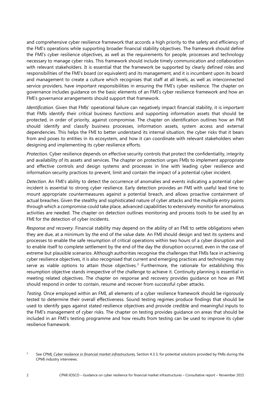and comprehensive cyber resilience framework that accords a high priority to the safety and efficiency of the FMI's operations while supporting broader financial stability objectives. The framework should define the FMI's cyber resilience objectives, as well as the requirements for people, processes and technology necessary to manage cyber risks. This framework should include timely communication and collaboration with relevant stakeholders. It is essential that the framework be supported by clearly defined roles and responsibilities of the FMI's board (or equivalent) and its management, and it is incumbent upon its board and management to create a culture which recognises that staff at all levels, as well as interconnected service providers, have important responsibilities in ensuring the FMI's cyber resilience. The chapter on governance includes guidance on the basic elements of an FMI's cyber resilience framework and how an FMI's governance arrangements should support that framework.

*Identification*. Given that FMIs' operational failure can negatively impact financial stability, it is important that FMIs identify their critical business functions and supporting information assets that should be protected, in order of priority, against compromise. The chapter on identification outlines how an FMI should identify and classify business processes, information assets, system access and external dependencies. This helps the FMI to better understand its internal situation, the cyber risks that it bears from and poses to entities in its ecosystem, and how it can coordinate with relevant stakeholders when designing and implementing its cyber resilience efforts.

*Protection.* Cyber resilience depends on effective security controls that protect the confidentiality, integrity and availability of its assets and services. The chapter on protection urges FMIs to implement appropriate and effective controls and design systems and processes in line with leading cyber resilience and information security practices to prevent, limit and contain the impact of a potential cyber incident.

*Detection*. An FMI's ability to detect the occurrence of anomalies and events indicating a potential cyber incident is essential to strong cyber resilience. Early detection provides an FMI with useful lead time to mount appropriate countermeasures against a potential breach, and allows proactive containment of actual breaches. Given the stealthy and sophisticated nature of cyber attacks and the multiple entry points through which a compromise could take place, advanced capabilities to extensively monitor for anomalous activities are needed. The chapter on detection outlines monitoring and process tools to be used by an FMI for the detection of cyber incidents.

*Response and recovery*. Financial stability may depend on the ability of an FMI to settle obligations when they are due, at a minimum by the end of the value date. An FMI should design and test its systems and processes to enable the safe resumption of critical operations within two hours of a cyber disruption and to enable itself to complete settlement by the end of the day the disruption occurred, even in the case of extreme but plausible scenarios. Although authorities recognise the challenges that FMIs face in achieving cyber resilience objectives, it is also recognised that current and emerging practices and technologies may serve as viable options to attain those objectives.<sup>[3](#page-5-0)</sup> Furthermore, the rationale for establishing this resumption objective stands irrespective of the challenge to achieve it. Continuity planning is essential in meeting related objectives. The chapter on response and recovery provides guidance on how an FMI should respond in order to contain, resume and recover from successful cyber attacks.

*Testing.* Once employed within an FMI, all elements of a cyber resilience framework should be rigorously tested to determine their overall effectiveness. Sound testing regimes produce findings that should be used to identify gaps against stated resilience objectives and provide credible and meaningful inputs to the FMI's management of cyber risks. The chapter on testing provides guidance on areas that should be included in an FMI's testing programme and how results from testing can be used to improve its cyber resilience framework.

<span id="page-5-0"></span><sup>3</sup> See CPMI*[, Cyber resilience in financial market infrastructures](http://www.bis.org/cpmi/publ/d122.pdf)*, Section 4.3.3, for potential solutions provided by FMIs during the CPMI industry interviews.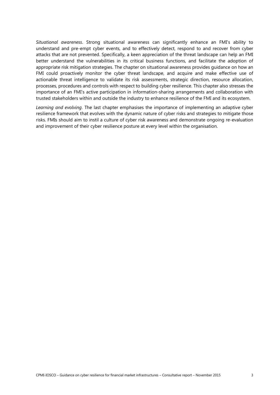*Situational awareness*. Strong situational awareness can significantly enhance an FMI's ability to understand and pre-empt cyber events, and to effectively detect, respond to and recover from cyber attacks that are not prevented. Specifically, a keen appreciation of the threat landscape can help an FMI better understand the vulnerabilities in its critical business functions, and facilitate the adoption of appropriate risk mitigation strategies. The chapter on situational awareness provides guidance on how an FMI could proactively monitor the cyber threat landscape, and acquire and make effective use of actionable threat intelligence to validate its risk assessments, strategic direction, resource allocation, processes, procedures and controls with respect to building cyber resilience. This chapter also stresses the importance of an FMI's active participation in information-sharing arrangements and collaboration with trusted stakeholders within and outside the industry to enhance resilience of the FMI and its ecosystem.

*Learning and evolving*. The last chapter emphasises the importance of implementing an adaptive cyber resilience framework that evolves with the dynamic nature of cyber risks and strategies to mitigate those risks. FMIs should aim to instil a culture of cyber risk awareness and demonstrate ongoing re-evaluation and improvement of their cyber resilience posture at every level within the organisation.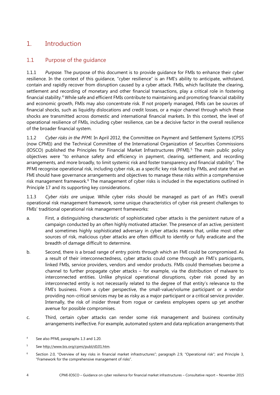# <span id="page-7-0"></span>1. Introduction

### <span id="page-7-1"></span>1.1 Purpose of the guidance

1.1.1 *Purpose.* The purpose of this document is to provide guidance for FMIs to enhance their cyber resilience. In the context of this guidance, "cyber resilience" is an FMI's ability to anticipate, withstand, contain and rapidly recover from disruption caused by a cyber attack. FMIs, which facilitate the clearing, settlement and recording of monetary and other financial transactions, play a critical role in fostering financial stability.[4](#page-7-2) While safe and efficient FMIs contribute to maintaining and promoting financial stability and economic growth, FMIs may also concentrate risk. If not properly managed, FMIs can be sources of financial shocks, such as liquidity dislocations and credit losses, or a major channel through which these shocks are transmitted across domestic and international financial markets. In this context, the level of operational resilience of FMIs, including cyber resilience, can be a decisive factor in the overall resilience of the broader financial system.

1.1.2 *Cyber risks in the PFMI.* In April 2012, the Committee on Payment and Settlement Systems (CPSS (now CPMI)) and the Technical Committee of the International Organization of Securities Commissions (IOSCO) published the Principles for Financial Market Infrastructures (PFMI).<sup>[5](#page-7-3)</sup> The main public policy objectives were "to enhance safety and efficiency in payment, clearing, settlement, and recording arrangements, and more broadly, to limit systemic risk and foster transparency and financial stability". The PFMI recognise operational risk, including cyber risk, as a specific key risk faced by FMIs, and state that an FMI should have governance arrangements and objectives to manage these risks within a comprehensive risk management framework.<sup>[6](#page-7-4)</sup> The management of cyber risks is included in the expectations outlined in Principle 17 and its supporting key considerations.

1.1.3 *Cyber risks are unique.* While cyber risks should be managed as part of an FMI's overall operational risk management framework, some unique characteristics of cyber risk present challenges to FMIs' traditional operational risk management frameworks:

- a. First, a distinguishing characteristic of sophisticated cyber attacks is the persistent nature of a campaign conducted by an often highly motivated attacker. The presence of an active, persistent and sometimes highly sophisticated adversary in cyber attacks means that, unlike most other sources of risk, malicious cyber attacks are often difficult to identify or fully eradicate and the breadth of damage difficult to determine.
- b. Second, there is a broad range of entry points through which an FMI could be compromised. As a result of their interconnectedness, cyber attacks could come through an FMI's participants, linked FMIs, service providers, vendors and vendor products. FMIs could themselves become a channel to further propagate cyber attacks – for example, via the distribution of malware to interconnected entities. Unlike physical operational disruptions, cyber risk posed by an interconnected entity is not necessarily related to the degree of that entity's relevance to the FMI's business. From a cyber perspective, the small-value/volume participant or a vendor providing non-critical services may be as risky as a major participant or a critical service provider. Internally, the risk of insider threat from rogue or careless employees opens up yet another avenue for possible compromises.
- c. Third, certain cyber attacks can render some risk management and business continuity arrangements ineffective. For example, automated system and data replication arrangements that

<span id="page-7-2"></span><sup>4</sup> See also PFMI, paragraphs 1.3 and 1.20.

<span id="page-7-3"></span><sup>5</sup> Se[e http://www.bis.org/cpmi/publ/d101.htm.](http://www.bis.org/cpmi/publ/d101.htm)

<span id="page-7-4"></span><sup>6</sup> Section 2.0, "Overview of key risks in financial market infrastructures"; paragraph 2.9, "Operational risk"; and Principle 3, "Framework for the comprehensive management of risks".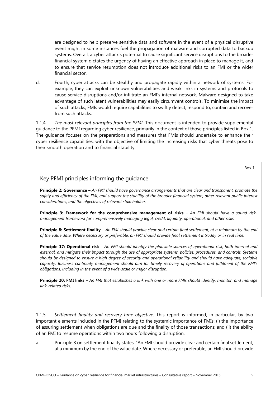are designed to help preserve sensitive data and software in the event of a physical disruptive event might in some instances fuel the propagation of malware and corrupted data to backup systems. Overall, a cyber attack's potential to cause significant service disruptions to the broader financial system dictates the urgency of having an effective approach in place to manage it, and to ensure that service resumption does not introduce additional risks to an FMI or the wider financial sector.

d. Fourth, cyber attacks can be stealthy and propagate rapidly within a network of systems. For example, they can exploit unknown vulnerabilities and weak links in systems and protocols to cause service disruptions and/or infiltrate an FMI's internal network. Malware designed to take advantage of such latent vulnerabilities may easily circumvent controls. To minimise the impact of such attacks, FMIs would require capabilities to swiftly detect, respond to, contain and recover from such attacks.

1.1.4 *The most relevant principles from the PFMI.* This document is intended to provide supplemental guidance to the PFMI regarding cyber resilience, primarily in the context of those principles listed in Box 1. The guidance focuses on the preparations and measures that FMIs should undertake to enhance their cyber resilience capabilities, with the objective of limiting the increasing risks that cyber threats pose to their smooth operation and to financial stability.

Box 1

#### Key PFMI principles informing the guidance

**Principle 2: Governance** – *An FMI should have governance arrangements that are clear and transparent, promote the*  safety and efficiency of the FMI, and support the stability of the broader financial system, other relevant public interest *considerations, and the objectives of relevant stakeholders.*

**Principle 3: Framework for the comprehensive management of risks** – *An FMI should have a sound riskmanagement framework for comprehensively managing legal, credit, liquidity, operational, and other risks.* 

**Principle 8: Settlement finality** – *An FMI should provide clear and certain final settlement, at a minimum by the end of the value date. Where necessary or preferable, an FMI should provide final settlement intraday or in real time.*

**Principle 17: Operational risk** – *An FMI should identify the plausible sources of operational risk, both internal and external, and mitigate their impact through the use of appropriate systems, policies, procedures, and controls. Systems should be designed to ensure a high degree of security and operational reliability and should have adequate, scalable capacity. Business continuity management should aim for timely recovery of operations and fulfilment of the FMI's obligations, including in the event of a wide-scale or major disruption.*

**Principle 20: FMI links** – *An FMI that establishes a link with one or more FMIs should identify, monitor, and manage link-related risks.*

1.1.5 *Settlement finality and recovery time objective.* This report is informed, in particular, by two important elements included in the PFMI relating to the systemic importance of FMIs: (i) the importance of assuring settlement when obligations are due and the finality of those transactions; and (ii) the ability of an FMI to resume operations within two hours following a disruption.

a. Principle 8 on settlement finality states: "An FMI should provide clear and certain final settlement, at a minimum by the end of the value date. Where necessary or preferable, an FMI should provide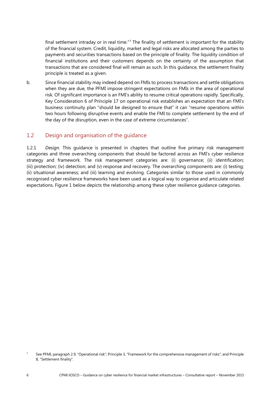final settlement intraday or in real time."[7](#page-9-1) The finality of settlement is important for the stability of the financial system. Credit, liquidity, market and legal risks are allocated among the parties to payments and securities transactions based on the principle of finality. The liquidity condition of financial institutions and their customers depends on the certainty of the assumption that transactions that are considered final will remain as such. In this guidance, the settlement finality principle is treated as a given.

b. Since financial stability may indeed depend on FMIs to process transactions and settle obligations when they are due, the PFMI impose stringent expectations on FMIs in the area of operational risk. Of significant importance is an FMI's ability to resume critical operations rapidly. Specifically, Key Consideration 6 of Principle 17 on operational risk establishes an expectation that an FMI's business continuity plan "should be designed to ensure that" it can "resume operations within two hours following disruptive events and enable the FMI to complete settlement by the end of the day of the disruption, even in the case of extreme circumstances".

#### <span id="page-9-0"></span>1.2 Design and organisation of the guidance

1.2.1 *Design.* This guidance is presented in chapters that outline five primary risk management categories and three overarching components that should be factored across an FMI's cyber resilience strategy and framework. The risk management categories are: (i) governance; (ii) identification; (iii) protection; (iv) detection; and (v) response and recovery. The overarching components are: (i) testing; (ii) situational awareness; and (iii) learning and evolving. Categories similar to those used in commonly recognised cyber resilience frameworks have been used as a logical way to organise and articulate related expectations. Figure 1 below depicts the relationship among these cyber resilience guidance categories.

<span id="page-9-1"></span><sup>&</sup>lt;sup>7</sup> See PFMI, paragraph 2.9, "Operational risk"; Principle 3, "Framework for the comprehensive management of risks"; and Principle 8, "Settlement finality".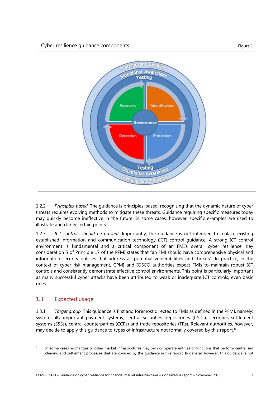

1.2.2 *Principles-based.* The guidance is principles-based, recognising that the dynamic nature of cyber threats requires evolving methods to mitigate these threats. Guidance requiring specific measures today may quickly become ineffective in the future. In some cases, however, specific examples are used to illustrate and clarify certain points.

1.2.3 *ICT controls should be present.* Importantly, the guidance is not intended to replace existing established information and communication technology (ICT) control guidance. A strong ICT control environment is fundamental and a critical component of an FMI's overall cyber resilience. Key consideration 5 of Principle 17 of the PFMI states that "an FMI should have comprehensive physical and information security policies that address all potential vulnerabilities and threats". In practice, in the context of cyber risk management, CPMI and IOSCO authorities expect FMIs to maintain robust ICT controls and consistently demonstrate effective control environments. This point is particularly important as many successful cyber attacks have been attributed to weak or inadequate ICT controls, even basic ones.

#### <span id="page-10-0"></span>1.3 Expected usage

1.3.1 *Target group.* This guidance is first and foremost directed to FMIs as defined in the PFMI, namely: systemically important payment systems, central securities depositories (CSDs), securities settlement systems (SSSs), central counterparties (CCPs) and trade repositories (TRs). Relevant authorities, however, may decide to apply this quidance to types of infrastructure not formally covered by this report.<sup>[8](#page-10-1)</sup>

<span id="page-10-1"></span><sup>&</sup>lt;sup>8</sup> In some cases, exchanges or other market infrastructures may own or operate entities or functions that perform centralised clearing and settlement processes that are covered by the guidance in this report. In general, however, this guidance is not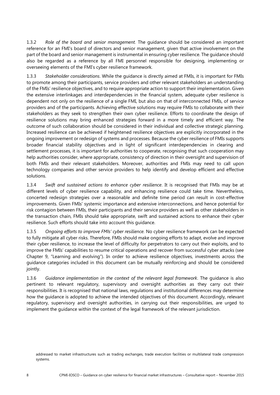1.3.2 *Role of the board and senior management.* The guidance should be considered an important reference for an FMI's board of directors and senior management, given that active involvement on the part of the board and senior management is instrumental in ensuring cyber resilience. The guidance should also be regarded as a reference by all FMI personnel responsible for designing, implementing or overseeing elements of the FMI's cyber resilience framework.

1.3.3 *Stakeholder considerations*. While the guidance is directly aimed at FMIs, it is important for FMIs to promote among their participants, service providers and other relevant stakeholders an understanding of the FMIs' resilience objectives, and to require appropriate action to support their implementation. Given the extensive interlinkages and interdependencies in the financial system, adequate cyber resilience is dependent not only on the resilience of a single FMI, but also on that of interconnected FMIs, of service providers and of the participants. Achieving effective solutions may require FMIs to collaborate with their stakeholders as they seek to strengthen their own cyber resilience. Efforts to coordinate the design of resilience solutions may bring enhanced strategies forward in a more timely and efficient way. The outcome of such collaboration should be considered in their individual and collective strategic planning. Increased resilience can be achieved if heightened resilience objectives are explicitly incorporated in the ongoing improvement or redesign of systems and processes. Because the cyber resilience of FMIs supports broader financial stability objectives and in light of significant interdependencies in clearing and settlement processes, it is important for authorities to cooperate, recognising that such cooperation may help authorities consider, where appropriate, consistency of direction in their oversight and supervision of both FMIs and their relevant stakeholders. Moreover, authorities and FMIs may need to call upon technology companies and other service providers to help identify and develop efficient and effective solutions.

1.3.4 *Swift and sustained actions to enhance cyber resilience*. It is recognised that FMIs may be at different levels of cyber resilience capability, and enhancing resilience could take time. Nevertheless, concerted redesign strategies over a reasonable and definite time period can result in cost-effective improvements. Given FMIs' systemic importance and extensive interconnections, and hence potential for risk contagion between FMIs, their participants and their service providers as well as other stakeholders in the transaction chain, FMIs should take appropriate, swift and sustained actions to enhance their cyber resilience. Such efforts should take into account this guidance.

1.3.5 *Ongoing efforts to improve FMIs' cyber resilience.* No cyber resilience framework can be expected to fully mitigate all cyber risks. Therefore, FMIs should make ongoing efforts to adapt, evolve and improve their cyber resilience, to increase the level of difficulty for perpetrators to carry out their exploits, and to improve the FMIs' capabilities to resume critical operations and recover from successful cyber attacks (see Chapter 9, "Learning and evolving"). In order to achieve resilience objectives, investments across the guidance categories included in this document can be mutually reinforcing and should be considered jointly.

1.3.6 *Guidance implementation in the context of the relevant legal framework*. The guidance is also pertinent to relevant regulatory, supervisory and oversight authorities as they carry out their responsibilities. It is recognised that national laws, regulations and institutional differences may determine how the guidance is adopted to achieve the intended objectives of this document. Accordingly, relevant regulatory, supervisory and oversight authorities, in carrying out their responsibilities, are urged to implement the guidance within the context of the legal framework of the relevant jurisdiction.

addressed to market infrastructures such as trading exchanges, trade execution facilities or multilateral trade compression systems.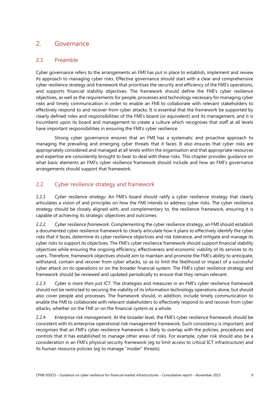## <span id="page-12-0"></span>2. Governance

### <span id="page-12-1"></span>2.1 Preamble

Cyber governance refers to the arrangements an FMI has put in place to establish, implement and review its approach to managing cyber risks. Effective governance should start with a clear and comprehensive cyber resilience strategy and framework that prioritises the security and efficiency of the FMI's operations, and supports financial stability objectives. The framework should define the FMI's cyber resilience objectives, as well as the requirements for people, processes and technology necessary for managing cyber risks and timely communication in order to enable an FMI to collaborate with relevant stakeholders to effectively respond to and recover from cyber attacks. It is essential that the framework be supported by clearly defined roles and responsibilities of the FMI's board (or equivalent) and its management, and it is incumbent upon its board and management to create a culture which recognises that staff at all levels have important responsibilities in ensuring the FMI's cyber resilience.

Strong cyber governance ensures that an FMI has a systematic and proactive approach to managing the prevailing and emerging cyber threats that it faces. It also ensures that cyber risks are appropriately considered and managed at all levels within the organisation and that appropriate resources and expertise are consistently brought to bear to deal with these risks. This chapter provides guidance on what basic elements an FMI's cyber resilience framework should include and how an FMI's governance arrangements should support that framework.

## <span id="page-12-2"></span>2.2 Cyber resilience strategy and framework

2.2.1 *Cyber resilience strategy*. An FMI's board should ratify a cyber resilience strategy that clearly articulates a vision of and principles on how the FMI intends to address cyber risks. The cyber resilience strategy should be closely aligned with, and complementary to, the resilience framework, ensuring it is capable of achieving its strategic objectives and outcomes.

2.2.2 *Cyber resilience framework*. Complementing the cyber resilience strategy, an FMI should establish a documented cyber resilience framework to clearly articulate how it plans to effectively identify the cyber risks that it faces, determine its cyber resilience objectives and risk tolerance, and mitigate and manage its cyber risks to support its objectives. The FMI's cyber resilience framework should support financial stability objectives while ensuring the ongoing efficiency, effectiveness and economic viability of its services to its users. Therefore, framework objectives should aim to maintain and promote the FMI's ability to anticipate, withstand, contain and recover from cyber attacks, so as to limit the likelihood or impact of a successful cyber attack on its operations or on the broader financial system. The FMI's cyber resilience strategy and framework should be reviewed and updated periodically to ensure that they remain relevant.

2.2.3 *Cyber is more than just ICT.* The strategies and measures in an FMI's cyber resilience framework should not be restricted to securing the viability of its information technology operations alone, but should also cover people and processes. The framework should, in addition, include timely communication to enable the FMI to collaborate with relevant stakeholders to effectively respond to and recover from cyber attacks, whether on the FMI or on the financial system as a whole.

2.2.4 *Enterprise risk management*. At the broader level, the FMI's cyber resilience framework should be consistent with its enterprise operational risk management framework. Such consistency is important, and recognises that an FMI's cyber resilience framework is likely to overlap with the policies, procedures and controls that it has established to manage other areas of risks. For example, cyber risk should also be a consideration in an FMI's physical security framework (eg to limit access to critical ICT infrastructure) and its human resource policies (eg to manage "insider" threats).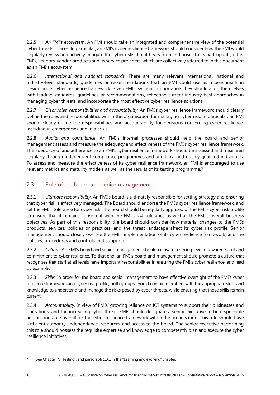2.2.5 *An FMI's ecosystem*. An FMI should take an integrated and comprehensive view of the potential cyber threats it faces. In particular, an FMI's cyber resilience framework should consider how the FMI would regularly review and actively mitigate the cyber risks that it bears from and poses to its participants, other FMIs, vendors, vendor products and its service providers, which are collectively referred to in this document as an FMI's ecosystem.

2.2.6 *International and national standards*. There are many relevant international, national and industry-level standards, guidelines or recommendations that an FMI could use as a benchmark in designing its cyber resilience framework. Given FMIs' systemic importance, they should align themselves with leading standards, guidelines or recommendations, reflecting current industry best approaches in managing cyber threats, and incorporate the most effective cyber resilience solutions.

2.2.7 *Clear roles, responsibilities and accountability*. An FMI's cyber resilience framework should clearly define the roles and responsibilities within the organisation for managing cyber risk. In particular, an FMI should clearly define the responsibilities and accountability for decisions concerning cyber resilience, including in emergencies and in a crisis.

2.2.8 *Audits and compliance*. An FMI's internal processes should help the board and senior management assess and measure the adequacy and effectiveness of the FMI's cyber resilience framework. The adequacy of and adherence to an FMI's cyber resilience framework should be assessed and measured regularly through independent compliance programmes and audits carried out by qualified individuals. To assess and measure the effectiveness of its cyber resilience framework, an FMI is encouraged to use relevant metrics and maturity models as well as the results of its testing programme.<sup>[9](#page-13-1)</sup>

## <span id="page-13-0"></span>2.3 Role of the board and senior management

2.3.1 *Ultimate responsibility*. An FMI's board is ultimately responsible for setting strategy and ensuring that cyber risk is effectively managed. The Board should endorse the FMI's cyber resilience framework, and set the FMI's tolerance for cyber risk. The board should be regularly apprised of the FMI's cyber risk profile to ensure that it remains consistent with the FMI's *risk* tolerance as well as the FMI's overall business objectives. As part of this responsibility, the board should consider how material changes to the FMI's products, services, policies or practices, and the threat landscape affect its cyber risk profile. Senior management should closely oversee the FMI's implementation of its cyber resilience framework, and the policies, procedures and controls that support it.

2.3.2 *Culture*. An FMI's board and senior management should cultivate a strong level of awareness of and commitment to cyber resilience. To that end, an FMI's board and management should promote a culture that recognises that staff at all levels have important responsibilities in ensuring the FMI's cyber resilience, and lead by example.

2.3.3 *Skills*. In order for the board and senior management to have effective oversight of the FMI's cyber resilience framework and cyber risk profile, both groups should contain members with the appropriate skills and knowledge to understand and manage the risks posed by cyber threats, while ensuring that those skills remain current.

2.3.4 *Accountability*. In view of FMIs' growing reliance on ICT systems to support their businesses and operations, and the increasing cyber threat, FMIs should designate a senior executive to be responsible and accountable overall for the cyber resilience framework within the organisation. This role should have sufficient authority, independence, resources and access to the board. The senior executive performing this role should possess the requisite expertise and knowledge to competently plan and execute the cyber resilience initiatives.

<span id="page-13-1"></span>See Chapter 7, "Testing", and paragraph 9.3.1 in the "Learning and evolving" chapter.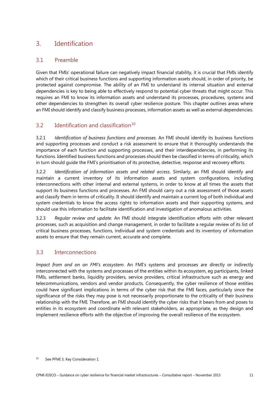# <span id="page-14-0"></span>3. Identification

## <span id="page-14-1"></span>3.1 Preamble

Given that FMIs' operational failure can negatively impact financial stability, it is crucial that FMIs identify which of their critical business functions and supporting information assets should, in order of priority, be protected against compromise. The ability of an FMI to understand its internal situation and external dependencies is key to being able to effectively respond to potential cyber threats that might occur. This requires an FMI to know its information assets and understand its processes, procedures, systems and other dependencies to strengthen its overall cyber resilience posture. This chapter outlines areas where an FMI should identify and classify business processes, information assets as well as external dependencies.

## <span id="page-14-2"></span>3.2 Identification and classification<sup>[10](#page-14-4)</sup>

3.2.1 *Identification of business functions and processes.* An FMI should identify its business functions and supporting processes and conduct a risk assessment to ensure that it thoroughly understands the importance of each function and supporting processes, and their interdependencies, in performing its functions. Identified business functions and processes should then be classified in terms of criticality, which in turn should guide the FMI's prioritisation of its protective, detective, response and recovery efforts.

3.2.2 *Identification of information assets and related access*. Similarly, an FMI should identify and maintain a current inventory of its information assets and system configurations, including interconnections with other internal and external systems, in order to know at all times the assets that support its business functions and processes. An FMI should carry out a risk assessment of those assets and classify them in terms of criticality. It should identify and maintain a current log of both individual and system credentials to know the access rights to information assets and their supporting systems, and should use this information to facilitate identification and investigation of anomalous activities.

3.2.3 *Regular review and update*. An FMI should integrate identification efforts with other relevant processes, such as acquisition and change management, in order to facilitate a regular review of its list of critical business processes, functions, individual and system credentials and its inventory of information assets to ensure that they remain current, accurate and complete.

### <span id="page-14-3"></span>3.3 Interconnections

*Impact from and on an FMI's ecosystem*. An FMI's systems and processes are directly or indirectly interconnected with the systems and processes of the entities within its ecosystem, eg participants, linked FMIs, settlement banks, liquidity providers, service providers, critical infrastructure such as energy and telecommunications, vendors and vendor products. Consequently, the cyber resilience of those entities could have significant implications in terms of the cyber risk that the FMI faces, particularly since the significance of the risks they may pose is not necessarily proportionate to the criticality of their business relationship with the FMI. Therefore, an FMI should identify the cyber risks that it bears from and poses to entities in its ecosystem and coordinate with relevant stakeholders, as appropriate, as they design and implement resilience efforts with the objective of improving the overall resilience of the ecosystem.

<span id="page-14-4"></span><sup>&</sup>lt;sup>10</sup> See PFMI 3, Key Consideration 1.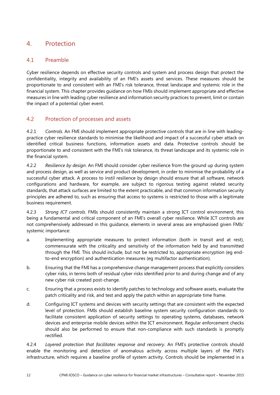# <span id="page-15-0"></span>4. Protection

#### <span id="page-15-1"></span>4.1 Preamble

Cyber resilience depends on effective security controls and system and process design that protect the confidentiality, integrity and availability of an FMI's assets and services. These measures should be proportionate to and consistent with an FMI's risk tolerance, threat landscape and systemic role in the financial system. This chapter provides guidance on how FMIs should implement appropriate and effective measures in line with leading cyber resilience and information security practices to prevent, limit or contain the impact of a potential cyber event.

#### <span id="page-15-2"></span>4.2 Protection of processes and assets

4.2.1 *Controls.* An FMI should implement appropriate protective controls that are in line with leadingpractice cyber resilience standards to minimise the likelihood and impact of a successful cyber attack on identified critical business functions, information assets and data. Protective controls should be proportionate to and consistent with the FMI's risk tolerance, its threat landscape and its systemic role in the financial system.

4.2.2 *Resilience by design*. An FMI should consider cyber resilience from the ground up during system and process design, as well as service and product development, in order to minimise the probability of a successful cyber attack. A process to instil resilience by design should ensure that all software, network configurations and hardware, for example, are subject to rigorous testing against related security standards, that attack surfaces are limited to the extent practicable, and that common information security principles are adhered to, such as ensuring that access to systems is restricted to those with a legitimate business requirement.

4.2.3 *Strong ICT controls*. FMIs should consistently maintain a strong ICT control environment, this being a fundamental and critical component of an FMI's overall cyber resilience. While ICT controls are not comprehensively addressed in this guidance, elements in several areas are emphasised given FMIs' systemic importance:

- a. Implementing appropriate measures to protect information (both in transit and at rest), commensurate with the criticality and sensitivity of the information held by and transmitted through the FMI. This should include, but not be restricted to, appropriate encryption (eg endto-end encryption) and authentication measures (eg multifactor authentication).
- b. Ensuring that the FMI has a comprehensive change management process that explicitly considers cyber risks, in terms both of residual cyber risks identified prior to and during change and of any new cyber risk created post-change.
- c. Ensuring that a process exists to identify patches to technology and software assets, evaluate the patch criticality and risk, and test and apply the patch within an appropriate time frame.
- d. Configuring ICT systems and devices with security settings that are consistent with the expected level of protection. FMIs should establish baseline system security configuration standards to facilitate consistent application of security settings to operating systems, databases, network devices and enterprise mobile devices within the ICT environment. Regular enforcement checks should also be performed to ensure that non-compliance with such standards is promptly rectified.

4.2.4 *Layered protection that facilitates response and recovery*. An FMI's protective controls should enable the monitoring and detection of anomalous activity across multiple layers of the FMI's infrastructure, which requires a baseline profile of system activity. Controls should be implemented in a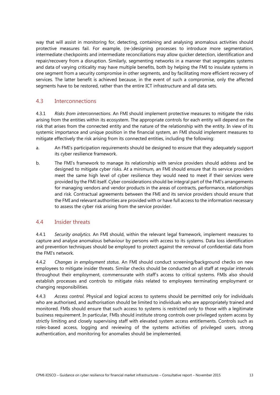way that will assist in monitoring for, detecting, containing and analysing anomalous activities should protective measures fail. For example, (re-)designing processes to introduce more segmentation, intermediate checkpoints and intermediate reconciliations may allow quicker detection, identification and repair/recovery from a disruption. Similarly, segmenting networks in a manner that segregates systems and data of varying criticality may have multiple benefits, both by helping the FMI to insulate systems in one segment from a security compromise in other segments, and by facilitating more efficient recovery of services. The latter benefit is achieved because, in the event of such a compromise, only the affected segments have to be restored, rather than the entire ICT infrastructure and all data sets.

#### <span id="page-16-0"></span>4.3 Interconnections

4.3.1 *Risks from interconnections*. An FMI should implement protective measures to mitigate the risks arising from the entities within its ecosystem. The appropriate controls for each entity will depend on the risk that arises from the connected entity and the nature of the relationship with the entity. In view of its systemic importance and unique position in the financial system, an FMI should implement measures to mitigate effectively the risk arising from its connected entities, including the following:

- a. An FMI's participation requirements should be designed to ensure that they adequately support its cyber resilience framework.
- b. The FMI's framework to manage its relationship with service providers should address and be designed to mitigate cyber risks. At a minimum, an FMI should ensure that its service providers meet the same high level of cyber resilience they would need to meet if their services were provided by the FMI itself. Cyber considerations should be integral part of the FMI's arrangements for managing vendors and vendor products in the areas of contracts, performance, relationships and risk. Contractual agreements between the FMI and its service providers should ensure that the FMI and relevant authorities are provided with or have full access to the information necessary to assess the cyber risk arising from the service provider.

#### <span id="page-16-1"></span>4.4 Insider threats

4.4.1 *Security analytics*. An FMI should, within the relevant legal framework, implement measures to capture and analyse anomalous behaviour by persons with access to its systems. Data loss identification and prevention techniques should be employed to protect against the removal of confidential data from the FMI's network.

4.4.2 *Changes in employment status*. An FMI should conduct screening/background checks on new employees to mitigate insider threats. Similar checks should be conducted on all staff at regular intervals throughout their employment, commensurate with staff's access to critical systems. FMIs also should establish processes and controls to mitigate risks related to employees terminating employment or changing responsibilities.

4.4.3 *Access control*. Physical and logical access to systems should be permitted only for individuals who are authorised, and authorisation should be limited to individuals who are appropriately trained and monitored. FMIs should ensure that such access to systems is restricted only to those with a legitimate business requirement. In particular, FMIs should institute strong controls over privileged system access by strictly limiting and closely supervising staff with elevated system access entitlements. Controls such as roles-based access, logging and reviewing of the systems activities of privileged users, strong authentication, and monitoring for anomalies should be implemented*.*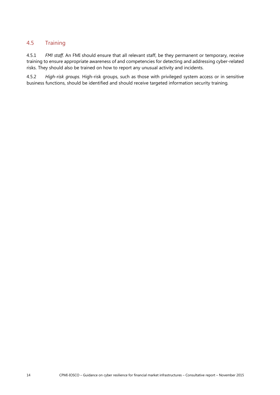#### <span id="page-17-0"></span>4.5 Training

4.5.1 *FMI staff*. An FMI should ensure that all relevant staff, be they permanent or temporary, receive training to ensure appropriate awareness of and competencies for detecting and addressing cyber-related risks. They should also be trained on how to report any unusual activity and incidents.

4.5.2 *High-risk groups.* High-risk groups, such as those with privileged system access or in sensitive business functions, should be identified and should receive targeted information security training*.*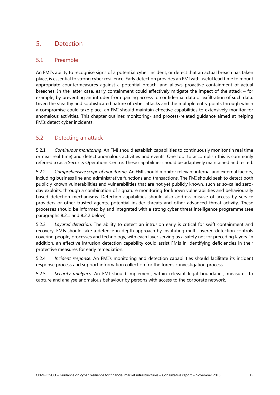# <span id="page-18-0"></span>5. Detection

### <span id="page-18-1"></span>5.1 Preamble

An FMI's ability to recognise signs of a potential cyber incident, or detect that an actual breach has taken place, is essential to strong cyber resilience. Early detection provides an FMI with useful lead time to mount appropriate countermeasures against a potential breach, and allows proactive containment of actual breaches. In the latter case, early containment could effectively mitigate the impact of the attack – for example, by preventing an intruder from gaining access to confidential data or exfiltration of such data. Given the stealthy and sophisticated nature of cyber attacks and the multiple entry points through which a compromise could take place, an FMI should maintain effective capabilities to extensively monitor for anomalous activities. This chapter outlines monitoring- and process-related guidance aimed at helping FMIs detect cyber incidents.

### <span id="page-18-2"></span>5.2 Detecting an attack

5.2.1 *Continuous monitoring*. An FMI should establish capabilities to continuously monitor (in real time or near real time) and detect anomalous activities and events. One tool to accomplish this is commonly referred to as a Security Operations Centre. These capabilities should be adaptively maintained and tested.

5.2.2 *Comprehensive scope of monitoring*. An FMI should monitor relevant internal and external factors, including business line and administrative functions and transactions. The FMI should seek to detect both publicly known vulnerabilities and vulnerabilities that are not yet publicly known, such as so-called zeroday exploits, through a combination of signature monitoring for known vulnerabilities and behaviourally based detection mechanisms. Detection capabilities should also address misuse of access by service providers or other trusted agents, potential insider threats and other advanced threat activity. These processes should be informed by and integrated with a strong cyber threat intelligence programme (see paragraphs 8.2.1 and 8.2.2 below).

5.2.3 *Layered detection*. The ability to detect an intrusion early is critical for swift containment and recovery. FMIs should take a defence-in-depth approach by instituting multi-layered detection controls covering people, processes and technology, with each layer serving as a safety net for preceding layers. In addition, an effective intrusion detection capability could assist FMIs in identifying deficiencies in their protective measures for early remediation.

5.2.4 *Incident response*. An FMI's monitoring and detection capabilities should facilitate its incident response process and support information collection for the forensic investigation process.

5.2.5 *Security analytics.* An FMI should implement, within relevant legal boundaries, measures to capture and analyse anomalous behaviour by persons with access to the corporate network.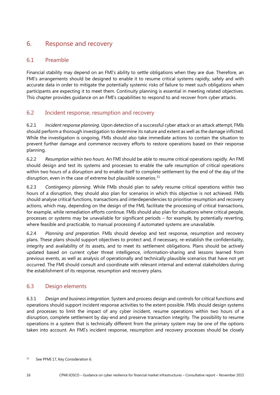# <span id="page-19-0"></span>6. Response and recovery

### <span id="page-19-1"></span>6.1 Preamble

Financial stability may depend on an FMI's ability to settle obligations when they are due. Therefore, an FMI's arrangements should be designed to enable it to resume critical systems rapidly, safely and with accurate data in order to mitigate the potentially systemic risks of failure to meet such obligations when participants are expecting it to meet them. Continuity planning is essential in meeting related objectives. This chapter provides guidance on an FMI's capabilities to respond to and recover from cyber attacks.

### <span id="page-19-2"></span>6.2 Incident response, resumption and recovery

6.2.1 *Incident response planning.* Upon detection of a successful cyber attack or an attack attempt, FMIs should perform a thorough investigation to determine its nature and extent as well as the damage inflicted. While the investigation is ongoing, FMIs should also take immediate actions to contain the situation to prevent further damage and commence recovery efforts to restore operations based on their response planning.

6.2.2 *Resumption within two hours*. An FMI should be able to resume critical operations rapidly. An FMI should design and test its systems and processes to enable the safe resumption of critical operations within two hours of a disruption and to enable itself to complete settlement by the end of the day of the disruption, even in the case of extreme but plausible scenarios.<sup>[11](#page-19-4)</sup>

6.2.3 *Contingency planning*. While FMIs should plan to safely resume critical operations within two hours of a disruption, they should also plan for scenarios in which this objective is not achieved. FMIs should analyse critical functions, transactions and interdependencies to prioritise resumption and recovery actions, which may, depending on the design of the FMI, facilitate the processing of critical transactions, for example, while remediation efforts continue. FMIs should also plan for situations where critical people, processes or systems may be unavailable for significant periods – for example, by potentially reverting, where feasible and practicable, to manual processing if automated systems are unavailable.

6.2.4 *Planning and preparation*. FMIs should develop and test response, resumption and recovery plans. These plans should support objectives to protect and, if necessary, re-establish the confidentiality, integrity and availability of its assets, and to meet its settlement obligations. Plans should be actively updated based on current cyber threat intelligence, information-sharing and lessons learned from previous events, as well as analysis of operationally and technically plausible scenarios that have not yet occurred. The FMI should consult and coordinate with relevant internal and external stakeholders during the establishment of its response, resumption and recovery plans.

## <span id="page-19-3"></span>6.3 Design elements

6.3.1 *Design and business integration*. System and process design and controls for critical functions and operations should support incident response activities to the extent possible. FMIs should design systems and processes to limit the impact of any cyber incident, resume operations within two hours of a disruption, complete settlement by day-end and preserve transaction integrity. The possibility to resume operations in a system that is technically different from the primary system may be one of the options taken into account. An FMI's incident response, resumption and recovery processes should be closely

<span id="page-19-4"></span><sup>&</sup>lt;sup>11</sup> See PFMI 17, Key Consideration 6.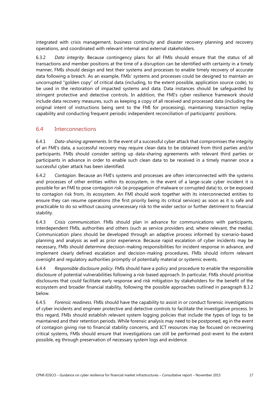integrated with crisis management, business continuity and disaster recovery planning and recovery operations, and coordinated with relevant internal and external stakeholders.

6.3.2 *Data integrity.* Because contingency plans for all FMIs should ensure that the status of all transactions and member positions at the time of a disruption can be identified with certainty in a timely manner, FMIs should design and test their systems and processes to enable timely recovery of accurate data following a breach. As an example, FMIs' systems and processes could be designed to maintain an uncorrupted "golden copy" of critical data (including, to the extent possible, application source code), to be used in the restoration of impacted systems and data. Data instances should be safeguarded by stringent protective and detective controls. In addition, the FMI's cyber resilience framework should include data recovery measures, such as keeping a copy of all received and processed data (including the original intent of instructions being sent to the FMI for processing), maintaining transaction replay capability and conducting frequent periodic independent reconciliation of participants' positions.

#### <span id="page-20-0"></span>6.4 Interconnections

6.4.1 *Data-sharing agreements*. In the event of a successful cyber attack that compromises the integrity of an FMI's data, a successful recovery may require clean data to be obtained from third parties and/or participants. FMIs should consider setting up data-sharing agreements with relevant third parties or participants in advance in order to enable such clean data to be received in a timely manner once a successful cyber attack has been identified.

6.4.2 *Contagion*. Because an FMI's systems and processes are often interconnected with the systems and processes of other entities within its ecosystem, in the event of a large-scale cyber incident it is possible for an FMI to pose contagion risk (ie propagation of malware or corrupted data) to, or be exposed to contagion risk from, its ecosystem. An FMI should work together with its interconnected entities to ensure they can resume operations (the first priority being its critical services) as soon as it is safe and practicable to do so without causing unnecessary risk to the wider sector or further detriment to financial stability.

6.4.3 *Crisis communication*. FMIs should plan in advance for communications with participants, interdependent FMIs, authorities and others (such as service providers and, where relevant, the media). Communication plans should be developed through an adaptive process informed by scenario-based planning and analysis as well as prior experience. Because rapid escalation of cyber incidents may be necessary, FMIs should determine decision-making responsibilities for incident response in advance, and implement clearly defined escalation and decision-making procedures. FMIs should inform relevant oversight and regulatory authorities promptly of potentially material or systemic events.

6.4.4 *Responsible disclosure policy*. FMIs should have a policy and procedure to enable the responsible disclosure of potential vulnerabilities following a risk-based approach. In particular, FMIs should prioritise disclosures that could facilitate early response and risk mitigation by stakeholders for the benefit of the ecosystem and broader financial stability, following the possible approaches outlined in paragraph 8.3.2 below.

6.4.5 *Forensic readiness.* FMIs should have the capability to assist in or conduct forensic investigations of cyber incidents and engineer protective and detective controls to facilitate the investigative process. In this regard, FMIs should establish relevant system logging policies that include the types of logs to be maintained and their retention periods. While forensic analysis may need to be postponed, eg in the event of contagion giving rise to financial stability concerns, and ICT resources may be focused on recovering critical systems, FMIs should ensure that investigations can still be performed post-event to the extent possible, eg through preservation of necessary system logs and evidence.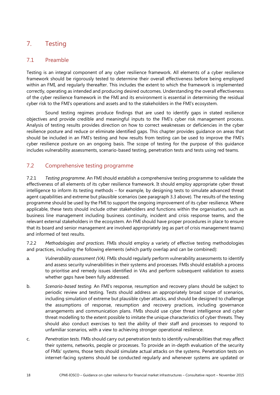# <span id="page-21-0"></span>7. Testing

#### <span id="page-21-1"></span>7.1 Preamble

Testing is an integral component of any cyber resilience framework. All elements of a cyber resilience framework should be rigorously tested to determine their overall effectiveness before being employed within an FMI, and regularly thereafter. This includes the extent to which the framework is implemented correctly, operating as intended and producing desired outcomes. Understanding the overall effectiveness of the cyber resilience framework in the FMI and its environment is essential in determining the residual cyber risk to the FMI's operations and assets and to the stakeholders in the FMI's ecosystem.

Sound testing regimes produce findings that are used to identify gaps in stated resilience objectives and provide credible and meaningful inputs to the FMI's cyber risk management process. Analysis of testing results provides direction on how to correct weaknesses or deficiencies in the cyber resilience posture and reduce or eliminate identified gaps. This chapter provides guidance on areas that should be included in an FMI's testing and how results from testing can be used to improve the FMI's cyber resilience posture on an ongoing basis. The scope of testing for the purpose of this guidance includes vulnerability assessments, scenario-based testing, penetration tests and tests using red teams.

### <span id="page-21-2"></span>7.2 Comprehensive testing programme

7.2.1 *Testing programme*. An FMI should establish a comprehensive testing programme to validate the effectiveness of all elements of its cyber resilience framework. It should employ appropriate cyber threat intelligence to inform its testing methods – for example, by designing tests to simulate advanced threat agent capabilities and extreme but plausible scenarios (see paragraph 3.3 above). The results of the testing programme should be used by the FMI to support the ongoing improvement of its cyber resilience. Where applicable, these tests should include other stakeholders and functions within the organisation, such as business line management including business continuity, incident and crisis response teams, and the relevant external stakeholders in the ecosystem. An FMI should have proper procedures in place to ensure that its board and senior management are involved appropriately (eg as part of crisis management teams) and informed of test results.

7.2.2 *Methodologies and practices*. FMIs should employ a variety of effective testing methodologies and practices, including the following elements (which partly overlap and can be combined):

- a. *Vulnerability assessment (VA).* FMIs should regularly perform vulnerability assessments to identify and assess security vulnerabilities in their systems and processes. FMIs should establish a process to prioritise and remedy issues identified in VAs and perform subsequent validation to assess whether gaps have been fully addressed.
- b. *Scenario-based testing.* An FMI's response, resumption and recovery plans should be subject to periodic review and testing. Tests should address an appropriately broad scope of scenarios, including simulation of extreme but plausible cyber attacks, and should be designed to challenge the assumptions of response, resumption and recovery practices, including governance arrangements and communication plans. FMIs should use cyber threat intelligence and cyber threat modelling to the extent possible to imitate the unique characteristics of cyber threats. They should also conduct exercises to test the ability of their staff and processes to respond to unfamiliar scenarios, with a view to achieving stronger operational resilience.
- c. *Penetration tests.* FMIs should carry out penetration tests to identify vulnerabilities that may affect their systems, networks, people or processes. To provide an in-depth evaluation of the security of FMIs' systems, those tests should simulate actual attacks on the systems. Penetration tests on internet-facing systems should be conducted regularly and whenever systems are updated or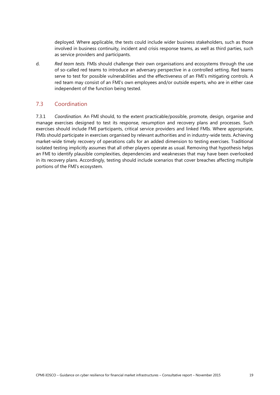deployed. Where applicable, the tests could include wider business stakeholders, such as those involved in business continuity, incident and crisis response teams, as well as third parties, such as service providers and participants.

d. *Red team tests.* FMIs should challenge their own organisations and ecosystems through the use of so-called red teams to introduce an adversary perspective in a controlled setting. Red teams serve to test for possible vulnerabilities and the effectiveness of an FMI's mitigating controls. A red team may consist of an FMI's own employees and/or outside experts, who are in either case independent of the function being tested.

### <span id="page-22-0"></span>7.3 Coordination

7.3.1 *Coordination.* An FMI should, to the extent practicable/possible, promote, design, organise and manage exercises designed to test its response, resumption and recovery plans and processes. Such exercises should include FMI participants, critical service providers and linked FMIs. Where appropriate, FMIs should participate in exercises organised by relevant authorities and in industry-wide tests. Achieving market-wide timely recovery of operations calls for an added dimension to testing exercises. Traditional isolated testing implicitly assumes that all other players operate as usual. Removing that hypothesis helps an FMI to identify plausible complexities, dependencies and weaknesses that may have been overlooked in its recovery plans. Accordingly, testing should include scenarios that cover breaches affecting multiple portions of the FMI's ecosystem.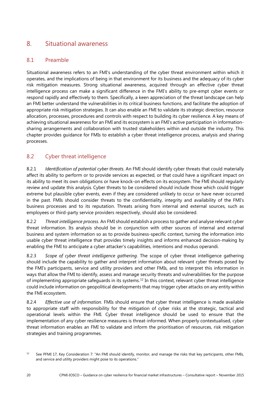# <span id="page-23-0"></span>8. Situational awareness

### <span id="page-23-1"></span>8.1 Preamble

Situational awareness refers to an FMI's understanding of the cyber threat environment within which it operates, and the implications of being in that environment for its business and the adequacy of its cyber risk mitigation measures. Strong situational awareness, acquired through an effective cyber threat intelligence process can make a significant difference in the FMI's ability to pre-empt cyber events or respond rapidly and effectively to them. Specifically, a keen appreciation of the threat landscape can help an FMI better understand the vulnerabilities in its critical business functions, and facilitate the adoption of appropriate risk mitigation strategies. It can also enable an FMI to validate its strategic direction, resource allocation, processes, procedures and controls with respect to building its cyber resilience. A key means of achieving situational awareness for an FMI and its ecosystem is an FMI's active participation in informationsharing arrangements and collaboration with trusted stakeholders within and outside the industry. This chapter provides guidance for FMIs to establish a cyber threat intelligence process, analysis and sharing processes.

## <span id="page-23-2"></span>8.2 Cyber threat intelligence

8.2.1 *Identification of potential cyber threats*. An FMI should identify cyber threats that could materially affect its ability to perform or to provide services as expected, or that could have a significant impact on its ability to meet its own obligations or have knock-on effects on its ecosystem. The FMI should regularly review and update this analysis. Cyber threats to be considered should include those which could trigger extreme but plausible cyber events, even if they are considered unlikely to occur or have never occurred in the past. FMIs should consider threats to the confidentiality, integrity and availability of the FMI's business processes and to its reputation. Threats arising from internal and external sources, such as employees or third-party service providers respectively, should also be considered.

8.2.2 *Threat intelligence process*. An FMI should establish a process to gather and analyse relevant cyber threat information. Its analysis should be in conjunction with other sources of internal and external business and system information so as to provide business-specific context, turning the information into usable cyber threat intelligence that provides timely insights and informs enhanced decision-making by enabling the FMI to anticipate a cyber attacker's capabilities, intentions and modus operandi.

8.2.3 *Scope of cyber threat intelligence gathering*. The scope of cyber threat intelligence gathering should include the capability to gather and interpret information about relevant cyber threats posed by the FMI's participants, service and utility providers and other FMIs, and to interpret this information in ways that allow the FMI to identify, assess and manage security threats and vulnerabilities for the purpose of implementing appropriate safeguards in its systems.<sup>[12](#page-23-3)</sup> In this context, relevant cyber threat intelligence could include information on geopolitical developments that may trigger cyber attacks on any entity within the FMI ecosystem.

8.2.4 *Effective use of information.* FMIs should ensure that cyber threat intelligence is made available to appropriate staff with responsibility for the mitigation of cyber risks at the strategic, tactical and operational levels within the FMI. Cyber threat intelligence should be used to ensure that the implementation of any cyber resilience measures is threat-informed. When properly contextualised, cyber threat information enables an FMI to validate and inform the prioritisation of resources, risk mitigation strategies and training programmes.

<span id="page-23-3"></span><sup>12</sup> See PFMI 17, Key Consideration 7: "An FMI should identify, monitor, and manage the risks that key participants, other FMIs, and service and utility providers might pose to its operations."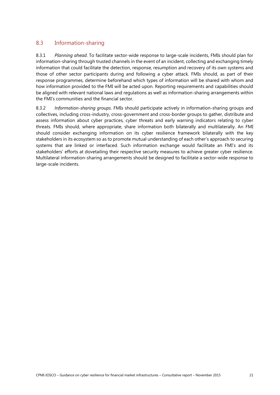### <span id="page-24-0"></span>8.3 Information-sharing

8.3.1 *Planning ahead*. To facilitate sector-wide response to large-scale incidents, FMIs should plan for information-sharing through trusted channels in the event of an incident, collecting and exchanging timely information that could facilitate the detection, response, resumption and recovery of its own systems and those of other sector participants during and following a cyber attack. FMIs should, as part of their response programmes, determine beforehand which types of information will be shared with whom and how information provided to the FMI will be acted upon. Reporting requirements and capabilities should be aligned with relevant national laws and regulations as well as information-sharing arrangements within the FMI's communities and the financial sector.

8.3.2 *Information-sharing groups*. FMIs should participate actively in information-sharing groups and collectives, including cross-industry, cross-government and cross-border groups to gather, distribute and assess information about cyber practices, cyber threats and early warning indicators relating to cyber threats. FMIs should, where appropriate, share information both bilaterally and multilaterally. An FMI should consider exchanging information on its cyber resilience framework bilaterally with the key stakeholders in its ecosystem so as to promote mutual understanding of each other's approach to securing systems that are linked or interfaced. Such information exchange would facilitate an FMI's and its stakeholders' efforts at dovetailing their respective security measures to achieve greater cyber resilience. Multilateral information-sharing arrangements should be designed to facilitate a sector-wide response to large-scale incidents.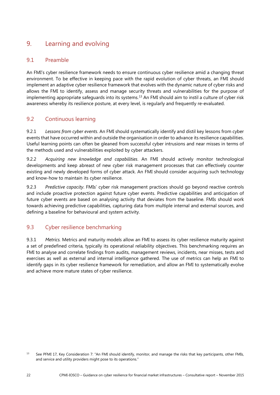# <span id="page-25-0"></span>9. Learning and evolving

### <span id="page-25-1"></span>9.1 Preamble

An FMI's cyber resilience framework needs to ensure continuous cyber resilience amid a changing threat environment. To be effective in keeping pace with the rapid evolution of cyber threats, an FMI should implement an adaptive cyber resilience framework that evolves with the dynamic nature of cyber risks and allows the FMI to identify, assess and manage security threats and vulnerabilities for the purpose of implementing appropriate safeguards into its systems.[13](#page-25-4) An FMI should aim to instil a culture of cyber risk awareness whereby its resilience posture, at every level, is regularly and frequently re-evaluated.

### <span id="page-25-2"></span>9.2 Continuous learning

9.2.1 *Lessons from cyber events*. An FMI should systematically identify and distil key lessons from cyber events that have occurred within and outside the organisation in order to advance its resilience capabilities. Useful learning points can often be gleaned from successful cyber intrusions and near misses in terms of the methods used and vulnerabilities exploited by cyber attackers.

9.2.2 *Acquiring new knowledge and capabilities*. An FMI should actively monitor technological developments and keep abreast of new cyber risk management processes that can effectively counter existing and newly developed forms of cyber attack. An FMI should consider acquiring such technology and know-how to maintain its cyber resilience.

9.2.3 *Predictive capacity*. FMIs' cyber risk management practices should go beyond reactive controls and include proactive protection against future cyber events. Predictive capabilities and anticipation of future cyber events are based on analysing activity that deviates from the baseline. FMIs should work towards achieving predictive capabilities, capturing data from multiple internal and external sources, and defining a baseline for behavioural and system activity.

## <span id="page-25-3"></span>9.3 Cyber resilience benchmarking

9.3.1 *Metrics.* Metrics and maturity models allow an FMI to assess its cyber resilience maturity against a set of predefined criteria, typically its operational reliability objectives. This benchmarking requires an FMI to analyse and correlate findings from audits, management reviews, incidents, near misses, tests and exercises as well as external and internal intelligence gathered. The use of metrics can help an FMI to identify gaps in its cyber resilience framework for remediation, and allow an FMI to systematically evolve and achieve more mature states of cyber resilience.

<span id="page-25-4"></span><sup>&</sup>lt;sup>13</sup> See PFMI 17, Key Consideration 7: "An FMI should identify, monitor, and manage the risks that key participants, other FMIs, and service and utility providers might pose to its operations."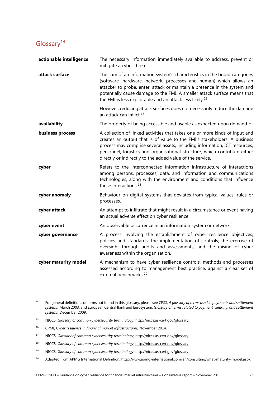# <span id="page-26-0"></span>Glossary<sup>[14](#page-26-1)</sup>

| actionable intelligence | The necessary information immediately available to address, prevent or<br>mitigate a cyber threat.                                                                                                                                                                                                                                                                                |
|-------------------------|-----------------------------------------------------------------------------------------------------------------------------------------------------------------------------------------------------------------------------------------------------------------------------------------------------------------------------------------------------------------------------------|
| attack surface          | The sum of an information system's characteristics in the broad categories<br>(software, hardware, network, processes and human) which allows an<br>attacker to probe, enter, attack or maintain a presence in the system and<br>potentially cause damage to the FMI. A smaller attack surface means that<br>the FMI is less exploitable and an attack less likely. <sup>15</sup> |
|                         | However, reducing attack surfaces does not necessarily reduce the damage<br>an attack can inflict. <sup>16</sup>                                                                                                                                                                                                                                                                  |
| availability            | The property of being accessible and usable as expected upon demand. <sup>17</sup>                                                                                                                                                                                                                                                                                                |
| business process        | A collection of linked activities that takes one or more kinds of input and<br>creates an output that is of value to the FMI's stakeholders. A business<br>process may comprise several assets, including information, ICT resources,<br>personnel, logistics and organisational structure, which contribute either<br>directly or indirectly to the added value of the service.  |
| cyber                   | Refers to the interconnected information infrastructure of interactions<br>among persons, processes, data, and information and communications<br>technologies, along with the environment and conditions that influence<br>those interactions. <sup>18</sup>                                                                                                                      |
| cyber anomaly           | Behaviour on digital systems that deviates from typical values, rules or<br>processes.                                                                                                                                                                                                                                                                                            |
| cyber attack            | An attempt to infiltrate that might result in a circumstance or event having<br>an actual adverse effect on cyber resilience.                                                                                                                                                                                                                                                     |
| cyber event             | An observable occurrence in an information system or network. <sup>19</sup>                                                                                                                                                                                                                                                                                                       |
| cyber governance        | A process involving the establishment of cyber resilience objectives,<br>policies and standards; the implementation of controls; the exercise of<br>oversight through audits and assessments; and the raising of cyber<br>awareness within the organisation.                                                                                                                      |
| cyber maturity model    | A mechanism to have cyber resilience controls, methods and processes<br>assessed according to management best practice, against a clear set of<br>external benchmarks. <sup>20</sup>                                                                                                                                                                                              |

- <span id="page-26-1"></span><sup>14</sup> For general definitions of terms not found in this glossary, please see CPSS, *A glossary of terms used in payments and settlement systems*, March 2003; and European Central Bank and Eurosystem, *Glossary of terms related to payment, clearing, and settlement systems*, December 2009.
- <span id="page-26-2"></span><sup>15</sup> NICCS, *Glossary of common cybersecurity terminology*, [http://niccs.us-cert.gov/glossary.](http://niccs.us-cert.gov/glossary)
- <span id="page-26-3"></span><sup>16</sup> CPMI, *Cyber resilience in financial market infrastructures*, November 2014.
- <span id="page-26-4"></span><sup>17</sup> NICCS, *Glossary of common cybersecurity terminology*,<http://niccs.us-cert.gov/glossary.>
- <span id="page-26-5"></span><sup>18</sup> NICCS, *Glossary of common cybersecurity terminology*, [http://niccs.us-cert.gov/glossary.](http://niccs.us-cert.gov/glossary)
- <span id="page-26-6"></span><sup>19</sup> NICCS, *Glossary of common cybersecurity terminology*, [http://niccs.us-cert.gov/glossary.](http://niccs.us-cert.gov/glossary)
- <span id="page-26-7"></span><sup>20</sup> Adapted from APMG International Definition, [http://www.apmg-international.com/en/consulting/what-maturity-model.aspx.](http://www.apmg-international.com/en/consulting/what-maturity-model.aspx)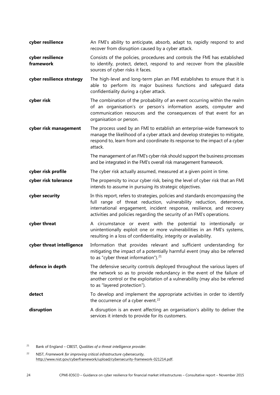- **cyber resilience** An FMI's ability to anticipate, absorb, adapt to, rapidly respond to and recover from disruption caused by a cyber attack.
- **cyber resilience framework** Consists of the policies, procedures and controls the FMI has established to identify, protect, detect, respond to and recover from the plausible sources of cyber risks it faces.
- **cyber resilience strategy** The high-level and long-term plan an FMI establishes to ensure that it is able to perform its major business functions and safeguard data confidentiality during a cyber attack.
- **cyber risk** The combination of the probability of an event occurring within the realm of an organisation's or person's information assets, computer and communication resources and the consequences of that event for an organisation or person.
- **cyber risk management** The process used by an FMI to establish an enterprise-wide framework to manage the likelihood of a cyber attack and develop strategies to mitigate, respond to, learn from and coordinate its response to the impact of a cyber attack.
	- The management of an FMI's cyber risk should support the business processes and be integrated in the FMI's overall risk management framework.
- **cyber risk profile** The cyber risk actually assumed, measured at a given point in time.
- **cyber risk tolerance** The propensity to incur cyber risk, being the level of cyber risk that an FMI intends to assume in pursuing its strategic objectives.
- **cyber security** In this report, refers to strategies, policies and standards encompassing the full range of threat reduction, vulnerability reduction, deterrence, international engagement, incident response, resilience, and recovery activities and policies regarding the security of an FMI's operations.
- **cyber threat** A circumstance or event with the potential to intentionally or unintentionally exploit one or more vulnerabilities in an FMI's systems, resulting in a loss of confidentiality, integrity or availability.
- **cyber threat intelligence** Information that provides relevant and sufficient understanding for mitigating the impact of a potentially harmful event (may also be referred to as "cyber threat information"). $21$
- **defence in depth** The defensive security controls deployed throughout the various layers of the network so as to provide redundancy in the event of the failure of another control or the exploitation of a vulnerability (may also be referred to as "layered protection").
- **detect** To develop and implement the appropriate activities in order to identify the occurrence of a cyber event. $22$
- **disruption** A disruption is an event affecting an organisation's ability to deliver the services it intends to provide for its customers.

<span id="page-27-0"></span><sup>21</sup> Bank of England – CBEST, *Qualities of a threat intelligence provider*.

<span id="page-27-1"></span><sup>22</sup> NIST, *Framework for improving critical infrastructure cybersecurity*, [http://www.nist.gov/cyberframework/upload/cybersecurity-framework-021214.pdf.](http://www.nist.gov/cyberframework/upload/cybersecurity-framework-021214.pdf)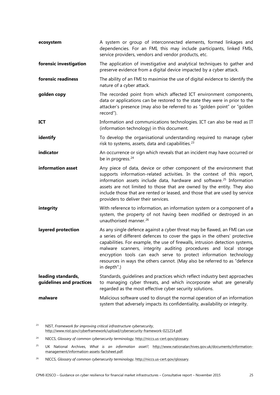| ecosystem                                      | A system or group of interconnected elements, formed linkages and<br>dependencies. For an FMI, this may include participants, linked FMIs,<br>service providers, vendors and vendor products, etc.                                                                                                                                                                                                                                                                              |
|------------------------------------------------|---------------------------------------------------------------------------------------------------------------------------------------------------------------------------------------------------------------------------------------------------------------------------------------------------------------------------------------------------------------------------------------------------------------------------------------------------------------------------------|
| forensic investigation                         | The application of investigative and analytical techniques to gather and<br>preserve evidence from a digital device impacted by a cyber attack.                                                                                                                                                                                                                                                                                                                                 |
| forensic readiness                             | The ability of an FMI to maximise the use of digital evidence to identify the<br>nature of a cyber attack.                                                                                                                                                                                                                                                                                                                                                                      |
| golden copy                                    | The recorded point from which affected ICT environment components,<br>data or applications can be restored to the state they were in prior to the<br>attacker's presence (may also be referred to as "golden point" or "golden<br>record").                                                                                                                                                                                                                                     |
| <b>ICT</b>                                     | Information and communications technologies. ICT can also be read as IT<br>(information technology) in this document.                                                                                                                                                                                                                                                                                                                                                           |
| identify                                       | To develop the organisational understanding required to manage cyber<br>risk to systems, assets, data and capabilities. <sup>23</sup>                                                                                                                                                                                                                                                                                                                                           |
| indicator                                      | An occurrence or sign which reveals that an incident may have occurred or<br>be in progress. <sup>24</sup>                                                                                                                                                                                                                                                                                                                                                                      |
| information asset                              | Any piece of data, device or other component of the environment that<br>supports information-related activities. In the context of this report,<br>information assets include data, hardware and software. <sup>25</sup> Information<br>assets are not limited to those that are owned by the entity. They also<br>include those that are rented or leased, and those that are used by service<br>providers to deliver their services.                                          |
| integrity                                      | With reference to information, an information system or a component of a<br>system, the property of not having been modified or destroyed in an<br>unauthorised manner. <sup>26</sup>                                                                                                                                                                                                                                                                                           |
| layered protection                             | As any single defence against a cyber threat may be flawed, an FMI can use<br>a series of different defences to cover the gaps in the others' protective<br>capabilities. For example, the use of firewalls, intrusion detection systems,<br>malware scanners, integrity auditing procedures and local storage<br>encryption tools can each serve to protect information technology<br>resources in ways the others cannot. (May also be referred to as "defence<br>in depth".) |
| leading standards,<br>guidelines and practices | Standards, guidelines and practices which reflect industry best approaches<br>to managing cyber threats, and which incorporate what are generally<br>regarded as the most effective cyber security solutions.                                                                                                                                                                                                                                                                   |
| malware                                        | Malicious software used to disrupt the normal operation of an information<br>system that adversely impacts its confidentiality, availability or integrity.                                                                                                                                                                                                                                                                                                                      |

<span id="page-28-0"></span><sup>23</sup> NIST, *Framework for improving critical infrastructure cybersecurity*, [http://www.nist.gov/cyberframework/upload/cybersecurity-framework-021214.pdf.](http://www.nist.gov/cyberframework/upload/cybersecurity-framework-021214.pdf)

<span id="page-28-1"></span><sup>24</sup> NICCS, *Glossary of common cybersecurity terminology*, [http://niccs.us-cert.gov/glossary.](http://niccs.us-cert.gov/glossary)

<span id="page-28-2"></span><sup>25</sup> UK National Archives, *What is an information asset?*, [http://www.nationalarchives.gov.uk/documents/information](http://www.nationalarchives.gov.uk/documents/information-management/information-assets-factsheet.pdf)[management/information-assets-factsheet.pdf.](http://www.nationalarchives.gov.uk/documents/information-management/information-assets-factsheet.pdf)

<span id="page-28-3"></span><sup>26</sup> NICCS, *Glossary of common cybersecurity terminology*, [http://niccs.us-cert.gov/glossary.](http://niccs.us-cert.gov/glossary)